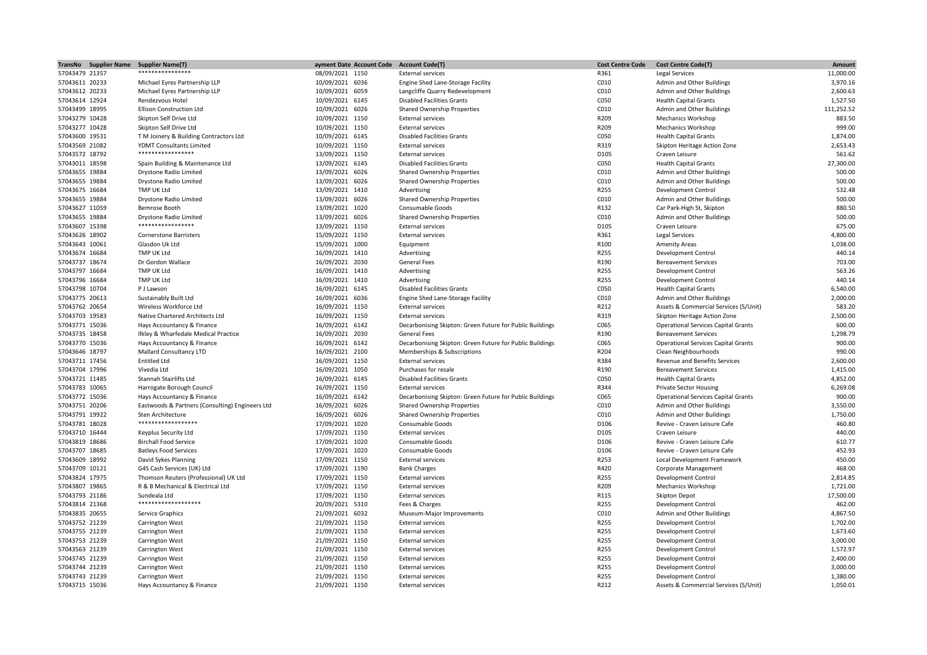| TransNo        | <b>Supplier Name</b> | <b>Supplier Name(T)</b>                         | 'ayment Date Account Code Account Code(T) |                                                          | <b>Cost Centre Code</b> | <b>Cost Centre Code(T)</b>                 | Amount           |
|----------------|----------------------|-------------------------------------------------|-------------------------------------------|----------------------------------------------------------|-------------------------|--------------------------------------------|------------------|
| 57043479 21357 |                      | ****************                                | 08/09/2021 1150                           | <b>External services</b>                                 | R361                    | Legal Services                             | 11,000.00        |
| 57043611 20233 |                      | Michael Eyres Partnership LLP                   | 10/09/2021 6036                           | Engine Shed Lane-Storage Facility                        | C010                    | Admin and Other Buildings                  | 3,970.16         |
| 57043612 20233 |                      | Michael Eyres Partnership LLP                   | 10/09/2021 6059                           | Langcliffe Quarry Redevelopment                          | C010                    | Admin and Other Buildings                  | 2,600.63         |
| 57043614 12924 |                      | Rendezvous Hotel                                | 10/09/2021 6145                           | <b>Disabled Facilities Grants</b>                        | C050                    | <b>Health Capital Grants</b>               | 1,527.50         |
| 57043499 18995 |                      | <b>Ellison Construction Ltd</b>                 | 10/09/2021 6026                           | <b>Shared Ownership Properties</b>                       | C010                    | Admin and Other Buildings                  | 111,252.52       |
| 57043279 10428 |                      | Skipton Self Drive Ltd                          | 10/09/2021 1150                           | <b>External services</b>                                 | R209                    | <b>Mechanics Workshop</b>                  | 883.50           |
| 57043277 10428 |                      | Skipton Self Drive Ltd                          | 10/09/2021 1150                           | <b>External services</b>                                 | R209                    | <b>Mechanics Workshop</b>                  | 999.00           |
| 57043600 19531 |                      | T M Joinery & Building Contractors Ltd          | 10/09/2021 6145                           | <b>Disabled Facilities Grants</b>                        | C050                    | <b>Health Capital Grants</b>               | 1,874.00         |
| 57043569 21082 |                      | YDMT Consultants Limited                        | 10/09/2021 1150                           | <b>External services</b>                                 | R319                    |                                            | 2,653.43         |
|                |                      | *****************                               |                                           |                                                          |                         | Skipton Heritage Action Zone               |                  |
| 57043572 18792 |                      |                                                 | 13/09/2021 1150                           | <b>External services</b>                                 | D105                    | Craven Leisure                             | 561.62           |
| 57043011 18598 |                      | Spain Building & Maintenance Ltd                | 13/09/2021 6145                           | <b>Disabled Facilities Grants</b>                        | C050                    | <b>Health Capital Grants</b>               | 27,300.00        |
| 57043655 19884 |                      | Drystone Radio Limited                          | 13/09/2021 6026                           | Shared Ownership Properties                              | C010                    | Admin and Other Buildings                  | 500.00           |
| 57043655 19884 |                      | Drystone Radio Limited                          | 13/09/2021 6026                           | Shared Ownership Properties                              | C010                    | Admin and Other Buildings                  | 500.00           |
| 57043675 16684 |                      | TMP UK Ltd                                      | 13/09/2021 1410                           | Advertising                                              | R255                    | Development Control                        | 532.48           |
| 57043655 19884 |                      | Drystone Radio Limited                          | 13/09/2021 6026                           | Shared Ownership Properties                              | C010                    | Admin and Other Buildings                  | 500.00           |
| 57043627 11059 |                      | Bemrose Booth                                   | 13/09/2021 1020                           | Consumable Goods                                         | R132                    | Car Park-High St, Skipton                  | 880.50           |
| 57043655 19884 |                      | Drystone Radio Limited                          | 13/09/2021 6026                           | Shared Ownership Properties                              | C010                    | Admin and Other Buildings                  | 500.00           |
| 57043607 15398 |                      | *****************                               | 13/09/2021 1150                           | <b>External services</b>                                 | D105                    | Craven Leisure                             | 675.00           |
| 57043626 18902 |                      | <b>Cornerstone Barristers</b>                   | 15/09/2021 1150                           | <b>External services</b>                                 | R361                    | Legal Services                             | 4,800.00         |
| 57043643 10061 |                      | Glasdon Uk Ltd                                  | 15/09/2021 1000                           | Equipment                                                | R100                    | <b>Amenity Areas</b>                       | 1,038.00         |
| 57043674 16684 |                      | TMP UK Ltd                                      | 16/09/2021 1410                           | Advertising                                              | R255                    | <b>Development Control</b>                 | 440.14           |
| 57043737 18674 |                      | Dr Gordon Wallace                               | 16/09/2021 2030                           | <b>General Fees</b>                                      | R190                    | <b>Bereavement Services</b>                | 703.00           |
| 57043797 16684 |                      | TMP UK Ltd                                      | 16/09/2021 1410                           | Advertising                                              | R255                    | <b>Development Control</b>                 | 563.26           |
|                |                      | TMP UK Ltd                                      |                                           |                                                          |                         |                                            | 440.14           |
| 57043796 16684 |                      |                                                 | 16/09/2021 1410                           | Advertising                                              | R255                    | <b>Development Control</b>                 | 6,540.00         |
| 57043798 10704 |                      | P J Lawson                                      | 16/09/2021 6145                           | <b>Disabled Facilities Grants</b>                        | C050                    | <b>Health Capital Grants</b>               |                  |
| 57043775 20613 |                      | Sustainably Built Ltd                           | 16/09/2021 6036                           | Engine Shed Lane-Storage Facility                        | C010                    | Admin and Other Buildings                  | 2,000.00         |
| 57043762 20654 |                      | Wireless Workforce Ltd                          | 16/09/2021 1150                           | <b>External services</b>                                 | R212                    | Assets & Commercial Services (S/Unit)      | 583.20           |
| 57043703 19583 |                      | Native Chartered Architects Ltd                 | 16/09/2021 1150                           | <b>External services</b>                                 | R319                    | Skipton Heritage Action Zone               | 2,500.00         |
| 57043771 15036 |                      | Hays Accountancy & Finance                      | 16/09/2021 6142                           | Decarbonising Skipton: Green Future for Public Buildings | C065                    | <b>Operational Services Capital Grants</b> | 600.00           |
| 57043735 18458 |                      | Ilkley & Wharfedale Medical Practice            | 16/09/2021 2030                           | <b>General Fees</b>                                      | R190                    | <b>Bereavement Services</b>                | 1,298.79         |
| 57043770 15036 |                      | Hays Accountancy & Finance                      | 16/09/2021 6142                           | Decarbonising Skipton: Green Future for Public Buildings | C065                    | <b>Operational Services Capital Grants</b> | 900.00           |
| 57043646 18797 |                      | Mallard Consultancy LTD                         | 16/09/2021 2100                           | Memberships & Subscriptions                              | R204                    | Clean Neighbourhoods                       | 990.00           |
| 57043711 17456 |                      | <b>Entitled Ltd</b>                             | 16/09/2021 1150                           | <b>External services</b>                                 | R384                    | Revenue and Benefits Services              | 2,600.00         |
| 57043704 17996 |                      | Vivedia Ltd                                     | 16/09/2021 1050                           | Purchases for resale                                     | R190                    | <b>Bereavement Services</b>                | 1,415.00         |
| 57043721 11485 |                      | Stannah Stairlifts Ltd                          | 16/09/2021 6145                           | <b>Disabled Facilities Grants</b>                        | C050                    | <b>Health Capital Grants</b>               | 4,852.00         |
| 57043783 10065 |                      | Harrogate Borough Council                       | 16/09/2021 1150                           | <b>External services</b>                                 | R344                    | <b>Private Sector Housing</b>              | 6,269.08         |
| 57043772 15036 |                      | Hays Accountancy & Finance                      | 16/09/2021 6142                           | Decarbonising Skipton: Green Future for Public Buildings | C065                    | <b>Operational Services Capital Grants</b> | 900.00           |
| 57043751 20206 |                      | Eastwoods & Partners (Consulting) Engineers Ltd | 16/09/2021 6026                           | Shared Ownership Properties                              | C010                    | Admin and Other Buildings                  | 3,550.00         |
| 57043791 19922 |                      | Sten Architecture                               | 16/09/2021 6026                           | Shared Ownership Properties                              | C010                    | Admin and Other Buildings                  | 1,750.00         |
| 57043781 18028 |                      | ******************                              | 17/09/2021 1020                           | Consumable Goods                                         | D106                    | Revive - Craven Leisure Cafe               | 460.80           |
| 57043710 16444 |                      | Keyplus Security Ltd                            | 17/09/2021 1150                           | <b>External services</b>                                 | D105                    | Craven Leisure                             | 440.00           |
|                |                      |                                                 |                                           |                                                          |                         |                                            |                  |
| 57043819 18686 |                      | <b>Birchall Food Service</b>                    | 17/09/2021 1020                           | Consumable Goods<br><b>Consumable Goods</b>              | D106<br>D106            | Revive - Craven Leisure Cafe               | 610.77<br>452.93 |
| 57043707 18685 |                      | <b>Batleys Food Services</b>                    | 17/09/2021 1020                           |                                                          |                         | Revive - Craven Leisure Cafe               |                  |
| 57043609 18992 |                      | David Sykes Planning                            | 17/09/2021 1150                           | <b>External services</b>                                 | R253                    | Local Development Framework                | 450.00           |
| 57043709 10121 |                      | G4S Cash Services (UK) Ltd                      | 17/09/2021 1190                           | <b>Bank Charges</b>                                      | R420                    | <b>Corporate Management</b>                | 468.00           |
| 57043824 17975 |                      | Thomson Reuters (Professional) UK Ltd           | 17/09/2021 1150                           | <b>External services</b>                                 | R255                    | <b>Development Control</b>                 | 2,814.85         |
| 57043807 19865 |                      | R & B Mechanical & Electrical Ltd               | 17/09/2021 1150                           | <b>External services</b>                                 | R209                    | <b>Mechanics Workshop</b>                  | 1,721.00         |
| 57043793 21186 |                      | Sundeala Ltd                                    | 17/09/2021 1150                           | <b>External services</b>                                 | R115                    | <b>Skipton Depot</b>                       | 17,500.00        |
| 57043814 21368 |                      | *******************                             | 20/09/2021 5310                           | Fees & Charges                                           | R255                    | <b>Development Control</b>                 | 462.00           |
| 57043835 20655 |                      | Service Graphics                                | 21/09/2021 6032                           | Museum-Major Improvements                                | C010                    | Admin and Other Buildings                  | 4,867.50         |
| 57043752 21239 |                      | Carrington West                                 | 21/09/2021 1150                           | <b>External services</b>                                 | R255                    | <b>Development Control</b>                 | 1,702.00         |
| 57043755 21239 |                      | Carrington West                                 | 21/09/2021 1150                           | <b>External services</b>                                 | R255                    | <b>Development Control</b>                 | 1,673.60         |
| 57043753 21239 |                      | <b>Carrington West</b>                          | 21/09/2021 1150                           | <b>External services</b>                                 | R255                    | Development Control                        | 3,000.00         |
| 57043563 21239 |                      | Carrington West                                 | 21/09/2021 1150                           | <b>External services</b>                                 | R255                    | <b>Development Control</b>                 | 1,572.97         |
| 57043745 21239 |                      | Carrington West                                 | 21/09/2021 1150                           | <b>External services</b>                                 | R255                    | <b>Development Control</b>                 | 2,400.00         |
| 57043744 21239 |                      | Carrington West                                 | 21/09/2021 1150                           | <b>External services</b>                                 | R255                    | Development Control                        | 3,000.00         |
| 57043743 21239 |                      | Carrington West                                 | 21/09/2021 1150                           | <b>External services</b>                                 | R255                    | Development Control                        | 1,380.00         |
| 57043715 15036 |                      | Hays Accountancy & Finance                      | 21/09/2021 1150                           | <b>External services</b>                                 | R212                    | Assets & Commercial Services (S/Unit)      | 1,050.01         |
|                |                      |                                                 |                                           |                                                          |                         |                                            |                  |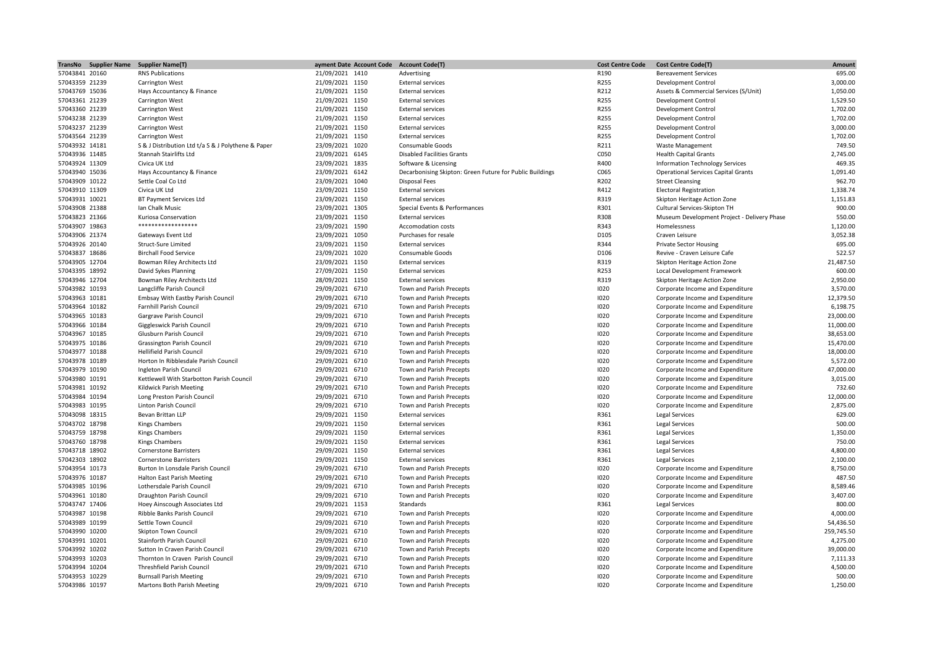| TransNo Supplier Name | <b>Supplier Name(T)</b>                            | ayment Date Account Code Account Code(T) |                                                          | <b>Cost Centre Code</b> | <b>Cost Centre Code(T)</b>                  | Amount     |
|-----------------------|----------------------------------------------------|------------------------------------------|----------------------------------------------------------|-------------------------|---------------------------------------------|------------|
| 57043841 20160        | <b>RNS Publications</b>                            | 21/09/2021 1410                          | Advertising                                              | R190                    | <b>Bereavement Services</b>                 | 695.00     |
| 57043359 21239        | Carrington West                                    | 21/09/2021 1150                          | <b>External services</b>                                 | R255                    | Development Control                         | 3,000.00   |
| 57043769 15036        | Hays Accountancy & Finance                         | 21/09/2021 1150                          | <b>External services</b>                                 | R212                    | Assets & Commercial Services (S/Unit)       | 1,050.00   |
| 57043361 21239        | Carrington West                                    | 21/09/2021 1150                          | <b>External services</b>                                 | R255                    | Development Control                         | 1,529.50   |
| 57043360 21239        | Carrington West                                    | 21/09/2021 1150                          | <b>External services</b>                                 | R255                    | Development Control                         | 1,702.00   |
| 57043238 21239        | <b>Carrington West</b>                             | 21/09/2021 1150                          | <b>External services</b>                                 | R255                    | <b>Development Control</b>                  | 1,702.00   |
| 57043237 21239        | Carrington West                                    | 21/09/2021 1150                          | <b>External services</b>                                 | R255                    | Development Control                         | 3,000.00   |
| 57043564 21239        | <b>Carrington West</b>                             | 21/09/2021 1150                          | <b>External services</b>                                 | R255                    | <b>Development Control</b>                  | 1,702.00   |
| 57043932 14181        | S & J Distribution Ltd t/a S & J Polythene & Paper | 23/09/2021 1020                          | Consumable Goods                                         | R211                    | Waste Management                            | 749.50     |
| 57043936 11485        | Stannah Stairlifts Ltd                             | 23/09/2021 6145                          | <b>Disabled Facilities Grants</b>                        | C050                    | <b>Health Capital Grants</b>                | 2,745.00   |
| 57043924 11309        | Civica UK Ltd                                      | 23/09/2021 1835                          | Software & Licensing                                     | R400                    | Information Technology Services             | 469.35     |
| 57043940 15036        | Hays Accountancy & Finance                         | 23/09/2021 6142                          | Decarbonising Skipton: Green Future for Public Buildings | C065                    | <b>Operational Services Capital Grants</b>  | 1,091.40   |
| 57043909 10122        | Settle Coal Co Ltd                                 | 23/09/2021 1040                          | Disposal Fees                                            | R202                    | <b>Street Cleansing</b>                     | 962.70     |
| 57043910 11309        | Civica UK Ltd                                      | 23/09/2021 1150                          | <b>External services</b>                                 | R412                    | <b>Electoral Registration</b>               | 1,338.74   |
| 57043931 10021        | BT Payment Services Ltd                            | 23/09/2021 1150                          | <b>External services</b>                                 | R319                    | Skipton Heritage Action Zone                | 1,151.83   |
| 57043908 21388        | Ian Chalk Music                                    | 23/09/2021 1305                          | Special Events & Performances                            | R301                    | Cultural Services-Skipton TH                | 900.00     |
| 57043823 21366        | Kuriosa Conservation                               | 23/09/2021 1150                          | <b>External services</b>                                 | R308                    | Museum Development Project - Delivery Phase | 550.00     |
| 57043907 19863        | ******************                                 | 23/09/2021 1590                          | Accomodation costs                                       | R343                    | Homelessness                                | 1,120.00   |
| 57043906 21374        | Gateways Event Ltd                                 | 23/09/2021 1050                          | Purchases for resale                                     | D105                    | Craven Leisure                              | 3,052.38   |
| 57043926 20140        | Struct-Sure Limited                                | 23/09/2021 1150                          | <b>External services</b>                                 | R344                    | <b>Private Sector Housing</b>               | 695.00     |
| 57043837 18686        | <b>Birchall Food Service</b>                       | 23/09/2021 1020                          | Consumable Goods                                         | D106                    | Revive - Craven Leisure Cafe                | 522.57     |
| 57043905 12704        | Bowman Riley Architects Ltd                        | 23/09/2021 1150                          | <b>External services</b>                                 | R319                    | Skipton Heritage Action Zone                | 21,487.50  |
| 57043395 18992        | David Sykes Planning                               | 27/09/2021 1150                          | <b>External services</b>                                 | R253                    | Local Development Framework                 | 600.00     |
| 57043946 12704        | Bowman Riley Architects Ltd                        | 28/09/2021 1150                          | <b>External services</b>                                 | R319                    | Skipton Heritage Action Zone                | 2,950.00   |
| 57043982 10193        | Langcliffe Parish Council                          | 29/09/2021 6710                          | Town and Parish Precepts                                 | 1020                    | Corporate Income and Expenditure            | 3,570.00   |
| 57043963 10181        | Embsay With Eastby Parish Council                  | 29/09/2021 6710                          | Town and Parish Precepts                                 | 1020                    | Corporate Income and Expenditure            | 12,379.50  |
| 57043964 10182        | Farnhill Parish Council                            | 29/09/2021 6710                          | Town and Parish Precepts                                 | 1020                    | Corporate Income and Expenditure            | 6,198.75   |
| 57043965 10183        | Gargrave Parish Council                            | 29/09/2021 6710                          | Town and Parish Precepts                                 | 1020                    | Corporate Income and Expenditure            | 23,000.00  |
| 57043966 10184        | Giggleswick Parish Council                         | 29/09/2021 6710                          | Town and Parish Precepts                                 | 1020                    | Corporate Income and Expenditure            | 11,000.00  |
| 57043967 10185        | Glusburn Parish Council                            | 29/09/2021 6710                          | Town and Parish Precepts                                 | 1020                    | Corporate Income and Expenditure            | 38,653.00  |
| 57043975 10186        | <b>Grassington Parish Council</b>                  | 29/09/2021 6710                          | Town and Parish Precepts                                 | 1020                    | Corporate Income and Expenditure            | 15,470.00  |
| 57043977 10188        | <b>Hellifield Parish Council</b>                   | 29/09/2021 6710                          | Town and Parish Precepts                                 | 1020                    | Corporate Income and Expenditure            | 18,000.00  |
| 57043978 10189        | Horton In Ribblesdale Parish Council               | 29/09/2021 6710                          | Town and Parish Precepts                                 | 1020                    | Corporate Income and Expenditure            | 5,572.00   |
| 57043979 10190        | Ingleton Parish Council                            | 29/09/2021 6710                          | Town and Parish Precepts                                 | 1020                    | Corporate Income and Expenditure            | 47,000.00  |
|                       |                                                    |                                          |                                                          |                         |                                             | 3,015.00   |
| 57043980 10191        | Kettlewell With Starbotton Parish Council          | 29/09/2021 6710                          | Town and Parish Precepts                                 | 1020<br>1020            | Corporate Income and Expenditure            | 732.60     |
| 57043981 10192        | Kildwick Parish Meeting                            | 29/09/2021 6710                          | Town and Parish Precepts                                 |                         | Corporate Income and Expenditure            |            |
| 57043984 10194        | Long Preston Parish Council                        | 29/09/2021 6710                          | Town and Parish Precepts                                 | 1020                    | Corporate Income and Expenditure            | 12,000.00  |
| 57043983 10195        | Linton Parish Council                              | 29/09/2021 6710                          | Town and Parish Precepts                                 | 1020                    | Corporate Income and Expenditure            | 2,875.00   |
| 57043098 18315        | Bevan Brittan LLP                                  | 29/09/2021 1150                          | <b>External services</b>                                 | R361                    | Legal Services                              | 629.00     |
| 57043702 18798        | <b>Kings Chambers</b>                              | 29/09/2021 1150                          | <b>External services</b>                                 | R361                    | Legal Services                              | 500.00     |
| 57043759 18798        | Kings Chambers                                     | 29/09/2021 1150                          | <b>External services</b>                                 | R361                    | <b>Legal Services</b>                       | 1,350.00   |
| 57043760 18798        | Kings Chambers                                     | 29/09/2021 1150                          | <b>External services</b>                                 | R361                    | Legal Services                              | 750.00     |
| 57043718 18902        | <b>Cornerstone Barristers</b>                      | 29/09/2021 1150                          | <b>External services</b>                                 | R361                    | Legal Services                              | 4,800.00   |
| 57042303 18902        | <b>Cornerstone Barristers</b>                      | 29/09/2021 1150                          | <b>External services</b>                                 | R361                    | Legal Services                              | 2,100.00   |
| 57043954 10173        | Burton In Lonsdale Parish Council                  | 29/09/2021 6710                          | Town and Parish Precepts                                 | 1020                    | Corporate Income and Expenditure            | 8,750.00   |
| 57043976 10187        | <b>Halton East Parish Meeting</b>                  | 29/09/2021 6710                          | Town and Parish Precepts                                 | 1020                    | Corporate Income and Expenditure            | 487.50     |
| 57043985 10196        | Lothersdale Parish Council                         | 29/09/2021 6710                          | Town and Parish Precepts                                 | 1020                    | Corporate Income and Expenditure            | 8,589.46   |
| 57043961 10180        | Draughton Parish Council                           | 29/09/2021 6710                          | Town and Parish Precepts                                 | 1020                    | Corporate Income and Expenditure            | 3,407.00   |
| 57043747 17406        | Hoey Ainscough Associates Ltd                      | 29/09/2021 1153                          | Standards                                                | R361                    | Legal Services                              | 800.00     |
| 57043987 10198        | Ribble Banks Parish Council                        | 29/09/2021 6710                          | Town and Parish Precepts                                 | 1020                    | Corporate Income and Expenditure            | 4,000.00   |
| 57043989 10199        | Settle Town Council                                | 29/09/2021 6710                          | Town and Parish Precepts                                 | 1020                    | Corporate Income and Expenditure            | 54,436.50  |
| 57043990 10200        | <b>Skipton Town Council</b>                        | 29/09/2021 6710                          | Town and Parish Precepts                                 | 1020                    | Corporate Income and Expenditure            | 259,745.50 |
| 57043991 10201        | Stainforth Parish Council                          | 29/09/2021 6710                          | Town and Parish Precepts                                 | 1020                    | Corporate Income and Expenditure            | 4,275.00   |
| 57043992 10202        | Sutton In Craven Parish Council                    | 29/09/2021 6710                          | Town and Parish Precepts                                 | 1020                    | Corporate Income and Expenditure            | 39,000.00  |
| 57043993 10203        | Thornton In Craven Parish Council                  | 29/09/2021 6710                          | Town and Parish Precepts                                 | 1020                    | Corporate Income and Expenditure            | 7,111.33   |
| 57043994 10204        | Threshfield Parish Council                         | 29/09/2021 6710                          | Town and Parish Precepts                                 | 1020                    | Corporate Income and Expenditure            | 4,500.00   |
| 57043953 10229        | <b>Burnsall Parish Meeting</b>                     | 29/09/2021 6710                          | Town and Parish Precepts                                 | 1020                    | Corporate Income and Expenditure            | 500.00     |
| 57043986 10197        | Martons Both Parish Meeting                        | 29/09/2021 6710                          | Town and Parish Precepts                                 | 1020                    | Corporate Income and Expenditure            | 1,250.00   |